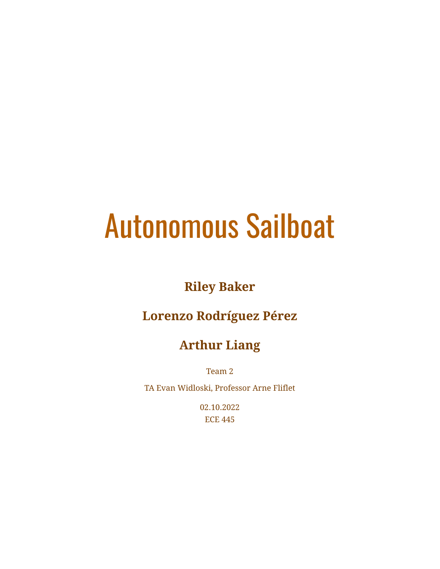# Autonomous Sailboat

## **Riley Baker**

## **Lorenzo Rodríguez Pérez**

## **Arthur Liang**

Team 2

TA Evan Widloski, Professor Arne Fliflet

02.10.2022 ECE 445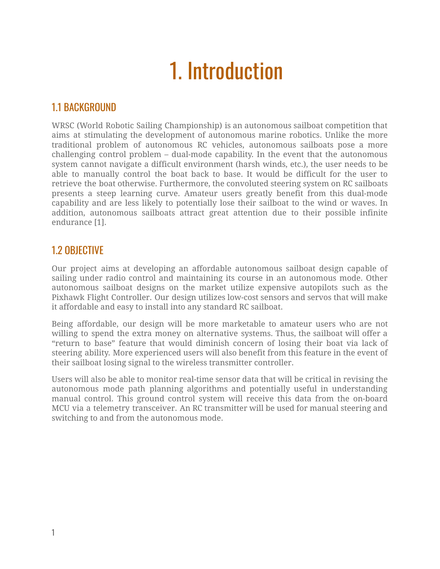## 1. Introduction

#### 1.1 BACKGROUND

WRSC (World Robotic Sailing Championship) is an autonomous sailboat competition that aims at stimulating the development of autonomous marine robotics. Unlike the more traditional problem of autonomous RC vehicles, autonomous sailboats pose a more challenging control problem – dual-mode capability. In the event that the autonomous system cannot navigate a difficult environment (harsh winds, etc.), the user needs to be able to manually control the boat back to base. It would be difficult for the user to retrieve the boat otherwise. Furthermore, the convoluted steering system on RC sailboats presents a steep learning curve. Amateur users greatly benefit from this dual-mode capability and are less likely to potentially lose their sailboat to the wind or waves. In addition, autonomous sailboats attract great attention due to their possible infinite endurance [1].

#### 1.2 OBJECTIVE

Our project aims at developing an affordable autonomous sailboat design capable of sailing under radio control and maintaining its course in an autonomous mode. Other autonomous sailboat designs on the market utilize expensive autopilots such as the Pixhawk Flight Controller. Our design utilizes low-cost sensors and servos that will make it affordable and easy to install into any standard RC sailboat.

Being affordable, our design will be more marketable to amateur users who are not willing to spend the extra money on alternative systems. Thus, the sailboat will offer a "return to base" feature that would diminish concern of losing their boat via lack of steering ability. More experienced users will also benefit from this feature in the event of their sailboat losing signal to the wireless transmitter controller.

Users will also be able to monitor real-time sensor data that will be critical in revising the autonomous mode path planning algorithms and potentially useful in understanding manual control. This ground control system will receive this data from the on-board MCU via a telemetry transceiver. An RC transmitter will be used for manual steering and switching to and from the autonomous mode.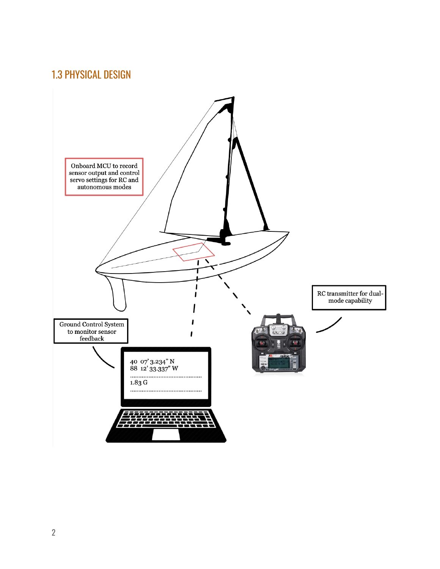### 1.3 PHYSICAL DESIGN

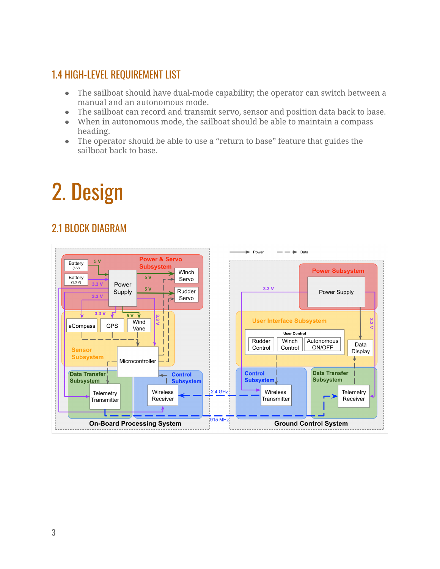### 1.4 HIGH-LEVEL REQUIREMENT LIST

- The sailboat should have dual-mode capability; the operator can switch between a manual and an autonomous mode.
- The sailboat can record and transmit servo, sensor and position data back to base.
- When in autonomous mode, the sailboat should be able to maintain a compass heading.
- The operator should be able to use a "return to base" feature that guides the sailboat back to base.

## 2. Design

### 2.1 BLOCK DIAGRAM

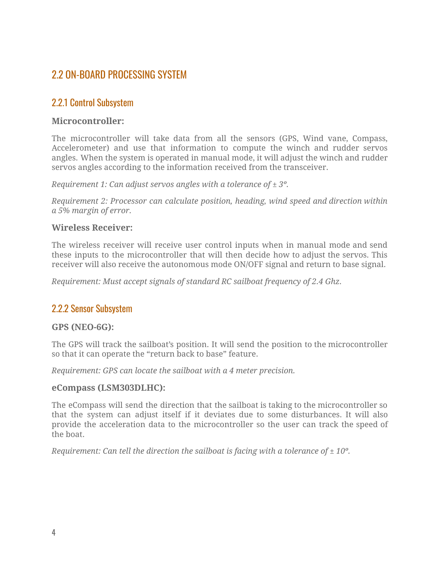#### 2.2 ON-BOARD PROCESSING SYSTEM

#### 2.2.1 Control Subsystem

#### **Microcontroller:**

The microcontroller will take data from all the sensors (GPS, Wind vane, Compass, Accelerometer) and use that information to compute the winch and rudder servos angles. When the system is operated in manual mode, it will adjust the winch and rudder servos angles according to the information received from the transceiver.

*Requirement 1: Can adjust servos angles with a tolerance of ± 3º.*

*Requirement 2: Processor can calculate position, heading, wind speed and direction within a 5% margin of error.*

#### **Wireless Receiver:**

The wireless receiver will receive user control inputs when in manual mode and send these inputs to the microcontroller that will then decide how to adjust the servos. This receiver will also receive the autonomous mode ON/OFF signal and return to base signal.

*Requirement: Must accept signals of standard RC sailboat frequency of 2.4 Ghz.*

#### 2.2.2 Sensor Subsystem

#### **GPS (NEO-6G):**

The GPS will track the sailboat's position. It will send the position to the microcontroller so that it can operate the "return back to base" feature.

*Requirement: GPS can locate the sailboat with a 4 meter precision.*

#### **eCompass (LSM303DLHC):**

The eCompass will send the direction that the sailboat is taking to the microcontroller so that the system can adjust itself if it deviates due to some disturbances. It will also provide the acceleration data to the microcontroller so the user can track the speed of the boat.

*Requirement: Can tell the direction the sailboat is facing with a tolerance of ± 10º.*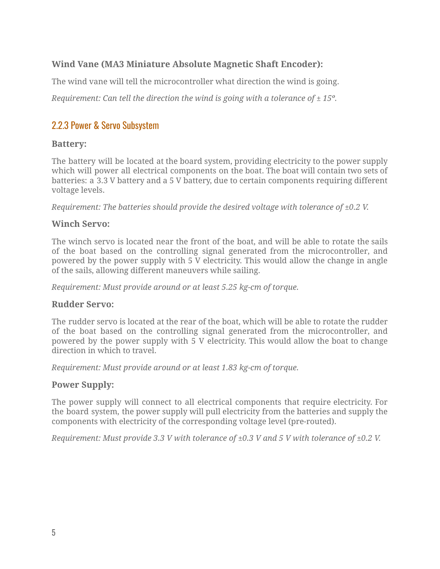#### **Wind Vane (MA3 Miniature Absolute Magnetic Shaft Encoder):**

The wind vane will tell the microcontroller what direction the wind is going.

*Requirement: Can tell the direction the wind is going with a tolerance of ± 15º.*

#### 2.2.3 Power & Servo Subsystem

#### **Battery:**

The battery will be located at the board system, providing electricity to the power supply which will power all electrical components on the boat. The boat will contain two sets of batteries: a 3.3 V battery and a 5 V battery, due to certain components requiring different voltage levels.

*Requirement: The batteries should provide the desired voltage with tolerance of ±0.2 V.*

#### **Winch Servo:**

The winch servo is located near the front of the boat, and will be able to rotate the sails of the boat based on the controlling signal generated from the microcontroller, and powered by the power supply with 5 V electricity. This would allow the change in angle of the sails, allowing different maneuvers while sailing.

*Requirement: Must provide around or at least 5.25 kg-cm of torque.*

#### **Rudder Servo:**

The rudder servo is located at the rear of the boat, which will be able to rotate the rudder of the boat based on the controlling signal generated from the microcontroller, and powered by the power supply with 5 V electricity. This would allow the boat to change direction in which to travel.

*Requirement: Must provide around or at least 1.83 kg-cm of torque.*

#### **Power Supply:**

The power supply will connect to all electrical components that require electricity. For the board system, the power supply will pull electricity from the batteries and supply the components with electricity of the corresponding voltage level (pre-routed).

*Requirement: Must provide 3.3 V with tolerance of ±0.3 V and 5 V with tolerance of ±0.2 V.*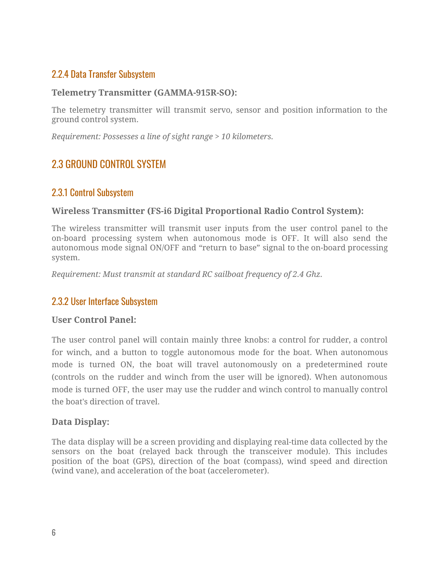#### 2.2.4 Data Transfer Subsystem

#### **Telemetry Transmitter (GAMMA-915R-SO):**

The telemetry transmitter will transmit servo, sensor and position information to the ground control system.

*Requirement: Possesses a line of sight range > 10 kilometers.*

#### 2.3 GROUND CONTROL SYSTEM

#### 2.3.1 Control Subsystem

#### **Wireless Transmitter (FS-i6 Digital Proportional Radio Control System):**

The wireless transmitter will transmit user inputs from the user control panel to the on-board processing system when autonomous mode is OFF. It will also send the autonomous mode signal ON/OFF and "return to base" signal to the on-board processing system.

*Requirement: Must transmit at standard RC sailboat frequency of 2.4 Ghz.*

#### 2.3.2 User Interface Subsystem

#### **User Control Panel:**

The user control panel will contain mainly three knobs: a control for rudder, a control for winch, and a button to toggle autonomous mode for the boat. When autonomous mode is turned ON, the boat will travel autonomously on a predetermined route (controls on the rudder and winch from the user will be ignored). When autonomous mode is turned OFF, the user may use the rudder and winch control to manually control the boat's direction of travel.

#### **Data Display:**

The data display will be a screen providing and displaying real-time data collected by the sensors on the boat (relayed back through the transceiver module). This includes position of the boat (GPS), direction of the boat (compass), wind speed and direction (wind vane), and acceleration of the boat (accelerometer).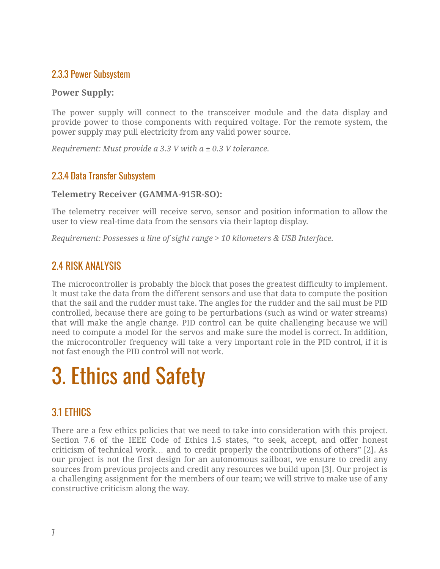#### 2.3.3 Power Subsystem

#### **Power Supply:**

The power supply will connect to the transceiver module and the data display and provide power to those components with required voltage. For the remote system, the power supply may pull electricity from any valid power source.

*Requirement: Must provide a 3.3 V with a ± 0.3 V tolerance.*

#### 2.3.4 Data Transfer Subsystem

#### **Telemetry Receiver (GAMMA-915R-SO):**

The telemetry receiver will receive servo, sensor and position information to allow the user to view real-time data from the sensors via their laptop display.

*Requirement: Possesses a line of sight range > 10 kilometers & USB Interface.*

#### 2.4 RISK ANALYSIS

The microcontroller is probably the block that poses the greatest difficulty to implement. It must take the data from the different sensors and use that data to compute the position that the sail and the rudder must take. The angles for the rudder and the sail must be PID controlled, because there are going to be perturbations (such as wind or water streams) that will make the angle change. PID control can be quite challenging because we will need to compute a model for the servos and make sure the model is correct. In addition, the microcontroller frequency will take a very important role in the PID control, if it is not fast enough the PID control will not work.

## 3. Ethics and Safety

### 3.1 ETHICS

There are a few ethics policies that we need to take into consideration with this project. Section 7.6 of the IEEE Code of Ethics I.5 states, "to seek, accept, and offer honest criticism of technical work… and to credit properly the contributions of others" [2]. As our project is not the first design for an autonomous sailboat, we ensure to credit any sources from previous projects and credit any resources we build upon [3]. Our project is a challenging assignment for the members of our team; we will strive to make use of any constructive criticism along the way.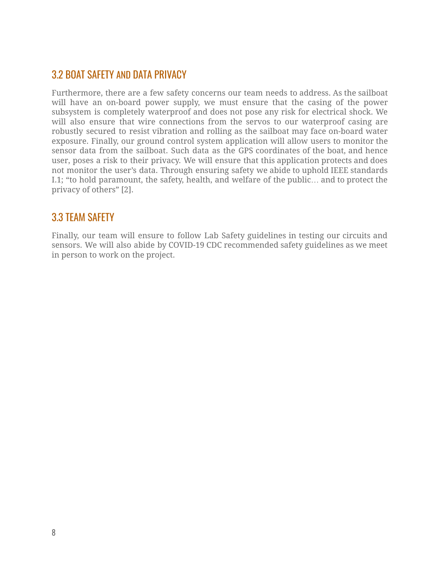#### 3.2 BOAT SAFETY AND DATA PRIVACY

Furthermore, there are a few safety concerns our team needs to address. As the sailboat will have an on-board power supply, we must ensure that the casing of the power subsystem is completely waterproof and does not pose any risk for electrical shock. We will also ensure that wire connections from the servos to our waterproof casing are robustly secured to resist vibration and rolling as the sailboat may face on-board water exposure. Finally, our ground control system application will allow users to monitor the sensor data from the sailboat. Such data as the GPS coordinates of the boat, and hence user, poses a risk to their privacy. We will ensure that this application protects and does not monitor the user's data. Through ensuring safety we abide to uphold IEEE standards I.1; "to hold paramount, the safety, health, and welfare of the public… and to protect the privacy of others" [2].

#### 3.3 TEAM SAFETY

Finally, our team will ensure to follow Lab Safety guidelines in testing our circuits and sensors. We will also abide by COVID-19 CDC recommended safety guidelines as we meet in person to work on the project.